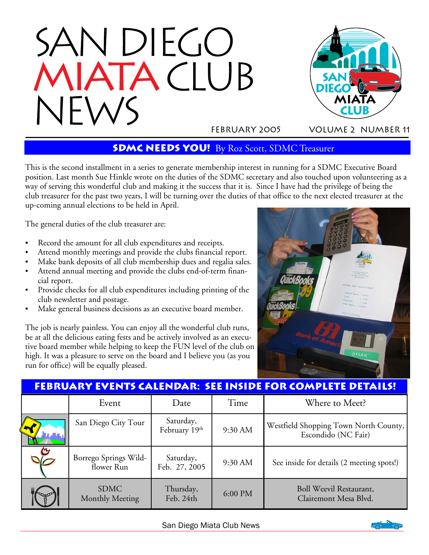



February 2005 Volume 2 number 11

## **SDMC NEEDS YOU!** By Roz Scott, SDMC Treasurer

This is the second installment in a series to generate membership interest in running for a SDMC Executive Board position. Last month Sue Hinkle wrote on the duties of the SDMC secretary and also touched upon volunteering as a way of serving this wonderful club and making it the success that it is. Since I have had the privilege of being the club treasurer for the past two years, I will be turning over the duties of that office to the next elected treasurer at the up-coming annual elections to be held in April.

The general duties of the club treasurer are:

- Record the amount for all club expenditures and receipts.
- Attend monthly meetings and provide the clubs financial report.
- Make bank deposits of all club membership dues and regalia sales.
- Attend annual meeting and provide the clubs end-of-term financial report.
- Provide checks for all club expenditures including printing of the club newsletter and postage.
- Make general business decisions as an executive board member.

The job is nearly painless. You can enjoy all the wonderful club runs, be at all the delicious eating fests and be actively involved as an executive board member while helping to keep the FUN level of the club on high. It was a pleasure to serve on the board and I believe you (as you run for office) will be equally pleased.



|  |                                     |                            |         | <b>FEBRUARY EVENTS CALENDAR: SEE INSIDE FOR COMPLETE DETAILS!</b> |
|--|-------------------------------------|----------------------------|---------|-------------------------------------------------------------------|
|  | Event                               | Date                       | Time    | Where to Meet?                                                    |
|  | San Diego City Tour                 | Saturday,<br>February 19th | 9:30 AM | Westfield Shopping Town North County,<br>Escondido (NC Fair)      |
|  | Borrego Springs Wild-<br>flower Run | Saturday,<br>Feb. 27, 2005 | 9:30 AM | See inside for details (2 meeting spots!)                         |
|  | <b>SDMC</b><br>Monthly Meeting      | Thursday,<br>Feb. 24th     | 6:00 PM | Boll Weevil Restaurant,<br>Clairemont Mesa Blvd.                  |

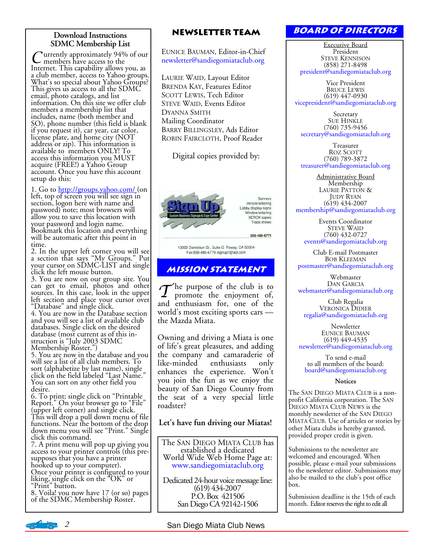#### **Download Instructions SDMC Membership List**

C urrently approximately 94% of our<br>Internet. This capability allows you, as a club member, access to Yahoo groups. What's so special about Yahoo Groups? This gives us access to all the SDMC email, photo catalogs, and list information. On this site we offer club members a membership list that includes, name (both member and SO), phone number (this field is blank if you request it), car year, car color, license plate, and home city (NOT address or zip). This information is available to members ONLY! To access this information you MUST acquire (FREE!) a Yahoo Group account. Once you have this account setup do this:

1. Go to http://groups.yahoo.com/ (on left, top of screen you will see sign in section, logon here with name and password) note; most browsers will allow you to save this location with your password and login name. Bookmark this location and everything will be automatic after this point in time.

2. In the upper left corner you will see a section that says "My Groups." Put your cursor on SDMC-LIST and single click the left mouse button.

3. You are now on our group site. You can get to email, photos and other sources. In this case, look in the upper left section and place your cursor over "Database" and single click.

4. You are now in the Database section and you will see a list of available club databases. Single click on the desired database (most current as of this instruction is "July 2003 SDMC Membership Roster.")

5. You are now in the database and you will see a list of all club members. To sort (alphabetize by last name), single<br>click on the field labeled "Last Name." You can sort on any other field you desire.

6. To print; single click on "Printable Report." On your browser go to "File" (upper left corner) and single click. This will drop a pull down menu of file functions. Near the bottom of the drop down menu you will see "Print." Single click this command.

7. A print menu will pop up giving you access to your printer controls (this presupposes that you have a printer hooked up to your computer).

Once your printer is configured to your liking, single click on the "OK" or "Print" button.

8. Voila! you now have 17 (or so) pages of the SDMC Membership Roster.

### **Newsletter Team**

EUNICE BAUMAN, Editor-in-Chief newsletter@sandiegomiataclub.org

LAURIE WAID, Layout Editor BRENDA KAY, Features Editor SCOTT LEWIS, Tech Editor STEVE WAID, Events Editor DYANNA SMITH Mailing Coordinator BARRY BILLINGSLEY, Ads Editor ROBIN FAIRCLOTH, Proof Reader

Digital copies provided by:



Banners Vehicle lettering Lobby display signs Window lettering **XEROX** copies Trade shows

858-486-6771

13000 Danielson St., Suite G Poway, CA 92064 Fax 858-486-6779 signup7@aol.com

## **Mission statement**

 $\mathcal T$ he purpose of the club is to promote the enjoyment of, and enthusiasm for, one of the world's most exciting sports cars the Mazda Miata.

Owning and driving a Miata is one of life's great pleasures, and adding the company and camaraderie of<br>like-minded enthusiasts only enthusiasts only enhances the experience. Won't you join the fun as we enjoy the beauty of San Diego County from the seat of a very special little roadster?

#### **Let's have fun driving our Miatas!**

The SAN DIEGO MIATA CLUB has established a dedicated World Wide Web Home Page at: www.sandiegomiataclub.org

Dedicated 24-hour voice message line: (619) 434-2007 P.O. Box 421506 San Diego CA 92142-1506

## **Board of Directors**

Executive Board President STEVE KENNISON (858) 271-8498 president@sandiegomiataclub.org

Vice President BRUCE LEWIS (619) 447-0930 vicepresident@sandiegomiataclub.org

**Secretary** SUE HINKLE (760) 735-9456 secretary@sandiegomiataclub.org

Treasurer ROZ SCOTT (760) 789-3872 treasurer@sandiegomiataclub.org

Administrative Board Membership LAURIE PATTON & JUDY RYAN (619) 434-2007 membership@sandiegomiataclub.org

Events Coordinator STEVE WAID (760) 432-0727 events@sandiegomiataclub.org

Club E-mail Postmaster BOB KLEEMAN postmaster@sandiegomiataclub.org

Webmaster DAN GARCIA webmaster@sandiegomiataclub.org

Club Regalia<br>VERONICA DIDIER regalia@sandiegomiataclub.org

**Newsletter** EUNICE BAUMAN (619) 449-4535 newsletter@sandiegomiataclub.org

To send e-mail to all members of the board: board@sandiegomiataclub.org

#### **Notices**

The SAN DIEGO MIATA CLUB is a nonprofit California corporation. The SAN DIEGO MIATA CLUB NEWS is the monthly newsletter of the SAN DIEGO MIATA CLUB. Use of articles or stories by other Miata clubs is hereby granted, provided proper credit is given.

Submissions to the newsletter are welcomed and encouraged. When possible, please e-mail your submissions to the newsletter editor. Submissions may also be mailed to the club's post office box.

Submission deadline is the 15th of each month. Editor reserves the right to edit all

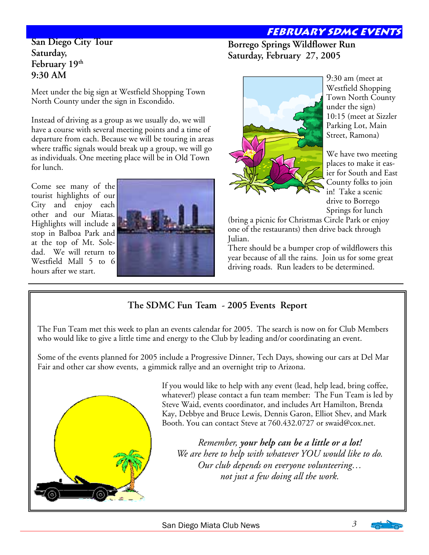# **February sdmc events**

### **San Diego City Tour Saturday, February 19th 9:30 AM**

Meet under the big sign at Westfield Shopping Town North County under the sign in Escondido.

Instead of driving as a group as we usually do, we will have a course with several meeting points and a time of departure from each. Because we will be touring in areas where traffic signals would break up a group, we will go as individuals. One meeting place will be in Old Town for lunch.

Come see many of the tourist highlights of our City and enjoy each other and our Miatas. Highlights will include a stop in Balboa Park and at the top of Mt. Soledad. We will return to Westfield Mall 5 to 6 hours after we start.



## **Borrego Springs Wildflower Run Saturday, February 27, 2005**



9:30 am (meet at Westfield Shopping Town North County under the sign) 10:15 (meet at Sizzler Parking Lot, Main Street, Ramona)

We have two meeting places to make it easier for South and East County folks to join in! Take a scenic drive to Borrego Springs for lunch

(bring a picnic for Christmas Circle Park or enjoy one of the restaurants) then drive back through Julian.

There should be a bumper crop of wildflowers this year because of all the rains. Join us for some great driving roads. Run leaders to be determined.

# **The SDMC Fun Team - 2005 Events Report**

The Fun Team met this week to plan an events calendar for 2005. The search is now on for Club Members who would like to give a little time and energy to the Club by leading and/or coordinating an event.

Some of the events planned for 2005 include a Progressive Dinner, Tech Days, showing our cars at Del Mar Fair and other car show events, a gimmick rallye and an overnight trip to Arizona.



If you would like to help with any event (lead, help lead, bring coffee, whatever!) please contact a fun team member: The Fun Team is led by Steve Waid, events coordinator, and includes Art Hamilton, Brenda Kay, Debbye and Bruce Lewis, Dennis Garon, Elliot Shev, and Mark Booth. You can contact Steve at 760.432.0727 or swaid@cox.net.

*Remember, your help can be a little or a lot! We are here to help with whatever YOU would like to do. Our club depends on everyone volunteering… not just a few doing all the work.* 

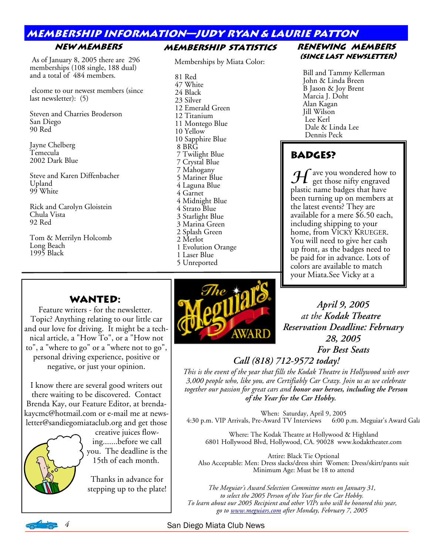# **membership information—judy ryan & laurie patton**

**Membership Statistics** 

### **New Members**

 As of January 8, 2005 there are 296 memberships (108 single, 188 dual) and a total of 484 members.

 elcome to our newest members (since last newsletter): (5)

Steven and Charries Broderson San Diego 90 Red

Jayne Chelberg Temecula 2002 Dark Blue

Steve and Karen Diffenbacher Upland 99 White

Rick and Carolyn Gloistein Chula Vista 92 Red

Tom & Merrilyn Holcomb Long Beach 1995 Black

#### Memberships by Miata Color: 81 Red 47 White 24 Black 23 Silver 12 Emerald Green 12 Titanium 11 Montego Blue 10 Yellow 10 Sapphire Blue 8 BRG 7 Twilight Blue 7 Crystal Blue 7 Mahogany 5 Mariner Blue 4 Laguna Blue 4 Garnet 4 Midnight Blue 4 Strato Blue 3 Starlight Blue 3 Marina Green 2 Splash Green 2 Merlot 1 Evolution Orange

- 1 Laser Blue
- 5 Unreported

### **Renewing members (since last newsletter)**

Bill and Tammy Kellerman John & Linda Breen B Jason & Joy Brent Marcia J. Doht Alan Kagan Jill Wilson Lee Kerl Dale & Linda Lee Dennis Peck

# **Badges?**

 ${\mathcal H}$  ave you wondered how to get those nifty engraved plastic name badges that have been turning up on members at the latest events? They are available for a mere \$6.50 each, including shipping to your home, from VICKY KRUEGER. You will need to give her cash up front, as the badges need to be paid for in advance. Lots of colors are available to match your Miata.See Vicky at a

# **WANTED:**

Feature writers - for the newsletter. Topic? Anything relating to our little car and our love for driving. It might be a technical article, a "How To", or a "How not to", a "where to go" or a "where not to go", personal driving experience, positive or negative, or just your opinion.

I know there are several good writers out there waiting to be discovered. Contact Brenda Kay, our Feature Editor, at brendakaycmc@hotmail.com or e-mail me at newsletter@sandiegomiataclub.org and get those

> creative juices flowing.......before we call you. The deadline is the 15th of each month.

Thanks in advance for



*April 9, 2005 at the Kodak Theatre Reservation Deadline: February 28, 2005 For Best Seats* 

# *Call (818) 712-9572 today!*

*This is the event of the year that fills the Kodak Theatre in Hollywood with over 3,000 people who, like you, are Certifiably Car Crazy. Join us as we celebrate together our passion for great cars and honor our heroes, including the Person of the Year for the Car Hobby.* 

When: Saturday, April 9, 2005 4:30 p.m. VIP Arrivals, Pre-Award TV Interviews 6:00 p.m. Meguiar's Award Gala

Where: The Kodak Theatre at Hollywood & Highland 6801 Hollywood Blvd, Hollywood, CA. 90028 www.kodaktheater.com

Attire: Black Tie Optional Also Acceptable: Men: Dress slacks/dress shirt Women: Dress/skirt/pants suit Minimum Age: Must be 18 to attend

stepping up to the plate! *The Meguiar's Award Selection Committee meets on January 31, to select the 2005 Person of the Year for the Car Hobby. To learn about our 2005 Recipient and other VIPs who will be honored this year, go to www.meguiars.com after Monday, February 7, 2005* 

*4* San Diego Miata Club News

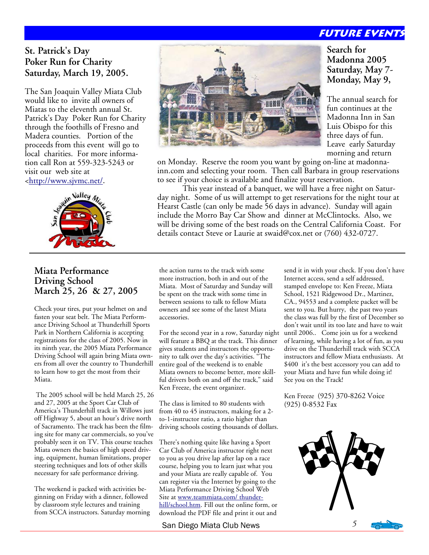# **Future events**

## **St. Patrick's Day Poker Run for Charity Saturday, March 19, 2005.**

The San Joaquin Valley Miata Club would like to invite all owners of Miatas to the eleventh annual St. Patrick's Day Poker Run for Charity through the foothills of Fresno and Madera counties. Portion of the proceeds from this event will go to local charities. For more information call Ron at 559-323-5243 or visit our web site at <http://www.sjvmc.net/.



### **Miata Performance Driving School March 25, 26 & 27, 2005**

Check your tires, put your helmet on and fasten your seat belt. The Miata Performance Driving School at Thunderhill Sports Park in Northern California is accepting registrations for the class of 2005. Now in its ninth year, the 2005 Miata Performance Driving School will again bring Miata owners from all over the country to Thunderhill to learn how to get the most from their Miata.

 The 2005 school will be held March 25, 26 and 27, 2005 at the Sport Car Club of America's Thunderhill track in Willows just off Highway 5, about an hour's drive north of Sacramento. The track has been the filming site for many car commercials, so you've probably seen it on TV. This course teaches Miata owners the basics of high speed driving, equipment, human limitations, proper steering techniques and lots of other skills necessary for safe performance driving.

The weekend is packed with activities beginning on Friday with a dinner, followed by classroom style lectures and training from SCCA instructors. Saturday morning



**Search for Madonna 2005 Saturday, May 7- Monday, May 9,** 

The annual search for fun continues at the Madonna Inn in San Luis Obispo for this three days of fun. Leave early Saturday morning and return

on Monday. Reserve the room you want by going on-line at madonnainn.com and selecting your room. Then call Barbara in group reservations to see if your choice is available and finalize your reservation.

 This year instead of a banquet, we will have a free night on Saturday night. Some of us will attempt to get reservations for the night tour at Hearst Castle (can only be made 56 days in advance). Sunday will again include the Morro Bay Car Show and dinner at McClintocks. Also, we will be driving some of the best roads on the Central California Coast. For details contact Steve or Laurie at swaid@cox.net or (760) 432-0727.

the action turns to the track with some more instruction, both in and out of the Miata. Most of Saturday and Sunday will be spent on the track with some time in between sessions to talk to fellow Miata owners and see some of the latest Miata accessories.

For the second year in a row, Saturday night will feature a BBQ at the track. This dinner gives students and instructors the opportunity to talk over the day's activities. "The entire goal of the weekend is to enable Miata owners to become better, more skillful drivers both on and off the track," said Ken Freeze, the event organizer.

The class is limited to 80 students with from 40 to 45 instructors, making for a 2 to-1-instructor ratio, a ratio higher than driving schools costing thousands of dollars.

There's nothing quite like having a Sport Car Club of America instructor right next to you as you drive lap after lap on a race course, helping you to learn just what you and your Miata are really capable of. You can register via the Internet by going to the Miata Performance Driving School Web Site at www.teammiata.com/ thunderhill/school.htm. Fill out the online form, or download the PDF file and print it out and

San Diego Miata Club News *5* 

send it in with your check. If you don't have Internet access, send a self addressed, stamped envelope to: Ken Freeze, Miata School, 1521 Ridgewood Dr., Martinez, CA., 94553 and a complete packet will be sent to you. But hurry, the past two years the class was full by the first of December so don't wait until its too late and have to wait until 2006.. Come join us for a weekend of learning, while having a lot of fun, as you drive on the Thunderhill track with SCCA instructors and fellow Miata enthusiasts. At \$400 it's the best accessory you can add to your Miata and have fun while doing it! See you on the Track!

Ken Freeze (925) 370-8262 Voice (925) 0-8532 Fax



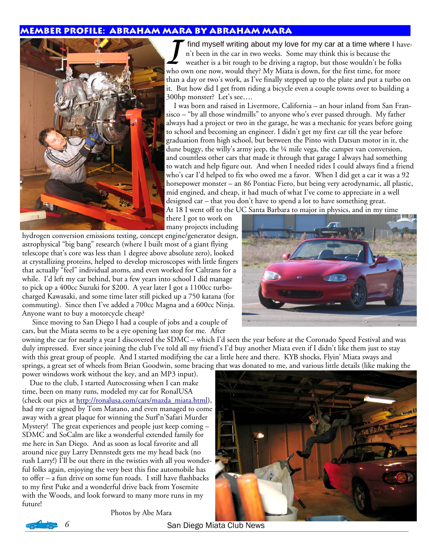#### **Member profile: Abraham Mara by Abraham Mara**



find myself writing about my love for my car at a time where I haven't been in the car in two weeks. Some may think this is because the weather is a bit rough to be driving a ragtop, but those wouldn't be folks who own one now, would they? My Miata is down, for the first time, for more than a day or two's work, as I've finally stepped up to the plate and put a turbo on it. But how did I get from riding a bicycle even a couple towns over to building a 300hp monster? Let's see….

 I was born and raised in Livermore, California – an hour inland from San Fransisco – "by all those windmills" to anyone who's ever passed through. My father always had a project or two in the garage, he was a mechanic for years before going to school and becoming an engineer. I didn't get my first car till the year before graduation from high school, but between the Pinto with Datsun motor in it, the dune buggy, the willy's army jeep, the ¼ mile vega, the camper van conversion, and countless other cars that made it through that garage I always had something to watch and help figure out. And when I needed rides I could always find a friend who's car I'd helped to fix who owed me a favor. When I did get a car it was a 92 horsepower monster – an 86 Pontiac Fiero, but being very aerodynamic, all plastic, mid engined, and cheap, it had much of what I've come to appreciate in a well designed car – that you don't have to spend a lot to have something great.

At 18 I went off to the UC Santa Barbara to major in physics, and in my time

there I got to work on many projects including

hydrogen conversion emissions testing, concept engine/generator design, astrophysical "big bang" research (where I built most of a giant flying telescope that's core was less than 1 degree above absolute zero), looked at crystallizing proteins, helped to develop microscopes with little fingers that actually "feel" individual atoms, and even worked for Caltrans for a while. I'd left my car behind, but a few years into school I did manage to pick up a 400cc Suzuki for \$200. A year later I got a 1100cc turbocharged Kawasaki, and some time later still picked up a 750 katana (for commuting). Since then I've added a 700cc Magna and a 600cc Ninja. Anyone want to buy a motorcycle cheap?

Since moving to San Diego I had a couple of jobs and a couple of cars, but the Miata seems to be a eye opening last stop for me. After

owning the car for nearly a year I discovered the SDMC – which I'd seen the year before at the Coronado Speed Festival and was duly impressed. Ever since joining the club I've told all my friend's I'd buy another Miata even if I didn't like them just to stay with this great group of people. And I started modifying the car a little here and there. KYB shocks, Flyin' Miata sways and springs, a great set of wheels from Brian Goodwin, some bracing that was donated to me, and various little details (like making the

power windows work without the key, and an MP3 input). Due to the club, I started Autocrossing when I can make time, been on many runs, modeled my car for RonalUSA (check out pics at http://ronalusa.com/cars/mazda\_miata.html), had my car signed by Tom Matano, and even managed to come away with a great plaque for winning the Surf'n'Safari Murder Mystery! The great experiences and people just keep coming – SDMC and SoCalm are like a wonderful extended family for me here in San Diego. And as soon as local favorite and all around nice guy Larry Dennstedt gets me my head back (no rush Larry!) I'll be out there in the twisties with all you wonderful folks again, enjoying the very best this fine automobile has to offer – a fun drive on some fun roads. I still have flashbacks to my first Puke and a wonderful drive back from Yosemite with the Woods, and look forward to many more runs in my future!

Photos by Abe Mara







*6* San Diego Miata Club News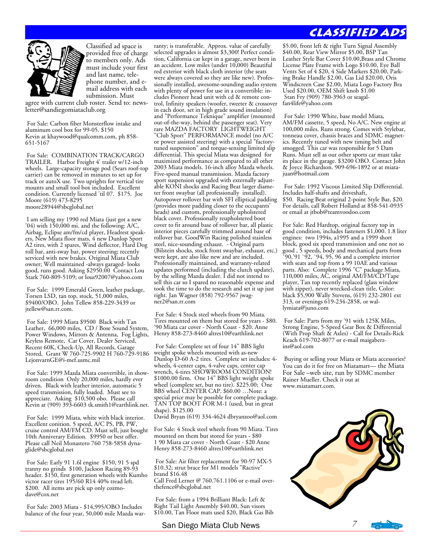

Classified ad space is provided free of charge to members only. Ads must include your first and last name, telephone number, and email address with each submission. Must

agree with current club roster. Send to: newsletter@sandiegomiataclub.org

For Sale: Carbon fiber Monsterflow intake and aluminum cool box for 99-05. \$150 Kevin at khaywood@qualcomm.com, ph 858- 651-5167

 For Sale: COMBINATION TRACK/CARGO TRAILER. Harbor Freight 4' trailer w/12-inch wheels. Large-capacity storage pod (Sears roof-top carrier) can be removed in minutes to set up for track or autoX use. Two uprights for vertical tire mounts and small tool box included. Excellent condition. Currently licensed 'til 07. \$175. Joe Moore (619) 473-8295 moore28944@sbcglobal.net

 I am selling my 1990 red Miata (just got a new  $(04)$  with  $150,000$  mi. and the following: A/C, Airbag, Eclipse am/fm/cd player, Headrest speakers, New Miata floor mats, 4 new Dunlop Sport A2 tires, with 2 spares, Wind deflector, Hard Dog roll bar, anti-sway bar, power steering; recently serviced with new brakes. Original Miata Club owner; Well maintained -always garaged- looks good, runs good. Asking \$2950.00 Contact Lou Stark 760-809-5109; or lous92007@yahoo.com

 For Sale: 1999 Emerald Green, leather package, Torsen LSD, tan top, stock, 51,000 miles, \$9400/OBO. John Tellew 858-229-3439 or jtellew@san.rr.com.

 For Sale: 1999 Miata \$9500 Black with Tan Leather, 66,000 miles, CD / Bose Sound System, Power Windows, Mirrors & Antenna, Fog Lights, Keyless Remote, Car Cover, Dealer Serviced, Recent 60K, Check-Up, All Records, Garage Stored, Grant W 760-725-9902 H 760-729-9186 LejonvarnGE@i-mef.usmc.mil

 For Sale: 1999 Mazda Miata convertible, in showroom condition Only 20,000 miles, hardly ever driven. Black with leather interior, automatic 5 speed transmission, fully loaded. Must see to appreciate. Asking \$10,500 obo. Please call Kevin at (909) 393-6603 tk.smith1@earthlink.net.

 For Sale: 1999 Miata, white with black interior. Excellent conition. 5 speed, A/C PS, PB, PW, cruise control AM/FM CD. Must sell, just bought 10th Anniverary Edition. \$9950 or best offer. Please call Neil Monastero 760 758-5858 dynaglide@sbcglobal.net

 For Sale: Early 91 1.6l engine \$150, 91 5 spd tranny no grinds \$100, Jackson Racing 89-93 header. \$150, first generation wheels with Kumho victor racer tires 195/60 R14 40% tread left. \$200. All items are pick up only cozmodave@cox.net

 For Sale: 2003 Miata - \$14,995/OBO Includes balance of the four year, 50,000 mile Mazda war-

ranty; is transferable. Approx. value of carefully selected upgrades is almost \$3,300! Perfect condition, California car kept in a garage, never been in an accident. Low miles (under 10,000) Beautiful red exterior with black cloth interior (the seats were always covered so they are like new). Professionally installed, awesome-sounding audio system with plenty of power for use in a convertible: includes Pioneer head unit with cd & remote control, Infinity speakers (woofer, tweeter & crossover in each door, set in high grade sound insulation) and "Performance Teknique" amplifier (mounted out-of-the-way, behind the passenger seat). Very rare MAZDA FACTORY LIGHTWEIGHT "Club Sport" PERFORMANCE model (no A/C or power assisted steering) with a special "factorytuned suspension" and torque-sensing limited slip differential. This special Miata was designed for maximized performance as compared to all other 2003 Miata models. 16-inch alloy Mazda wheels. Five-speed manual transmission. Mazda factory sport suspension upgraded with externally adjustable KONI shocks and Racing Beat larger diameter front swaybar (all professionally installed). Autopower rollover bar with SFI elliptical padding (provides more padding closer to the occupants' heads) and custom, professionally upholstered black cover. Professionally reupholstered boot cover to fit around base of rollover bar, all plastic interior pieces carefully trimmed around base of rollover bar. GoodWin Racing polished stainless steel, nice-sounding exhaust. - Original parts (Bilstein shocks, stock front swaybar, exhaust, etc.) were kept, are also like new and are included. Professionally maintained, and warranty-related updates performed (including the clutch update), by the selling Mazda dealer. I did not intend to sell this car so I spared no reasonable expense and took the time to do the research and set it up just right. Jan Wagner (858) 792-9567 jwagner2@san.rr.com

 For Sale: 4 Stock steel wheels from 90 Miata. Tires mounted on them but stored for years - \$80. '90 Miata car cover - North Coast - \$20. Anne Henry 858-273-8460 altres10@earthlink.net

 For Sale: Complete set of four 14" BBS light weight spoke wheels mounted with as-new Dunlop D-60 A-2 tires. Complete set includes: 4 wheels, 4-center caps, 4-valve caps, center cap wrench, 4-tires SHOWROOM CONDITION! \$1000.00 firm. One 14" BBS light weight spoke wheel (complete set, but no tire). \$225.00; One BBS wheel CENTER CAP. \$60.00 …Note: a special price may be possible for complete package. TAN TOP BOOT FOR M-1 (used, but in great shape). \$125.00

David Bryan (619) 334-4624 dbryanzoo@aol.com

For Sale: 4 Stock steel wheels from 90 Miata. Tires mounted on them but stored for years - \$80 1 90 Miata car cover - North Coast - \$20 Anne Henry 858-273-8460 altres10@earthlink.net

 For Sale: Air filter replacement for 90-97 MX-5 \$10.32; strut brace for M1 models "Ractive" brand \$16.48 Call Fred Lerner @ 760.761.1106 or e-mail over-

thefence@sbcglobal.net

 For Sale: from a 1994 Brilliant Black: Left & Right Tail Light Assembly \$40.00, Sun visors \$10.00, Tan Floor mats used \$20, Black Gas Bib

## **Classified Ads**

\$5.00, front left & right Turn Signal Assembly \$40.00, Rear View Mirror \$5.00, BSP Tan Leather Style Bar Cover \$10.00,Brass and Chrome License Plate Frame with Logo \$10.00, Eye Ball Vents Set of 4 \$20, 4 Side Markers \$20.00, Parking Brake Handle \$2.00, Gas Lid \$20.00, Oris Windscreen Case \$2.00, Miata Logo Factory Bra Used \$20.00, OEM Shift knob \$1.00 Stan Fry (909) 780-3963 or seagalfan4life@yahoo.com

 For Sale: 1990 White, base model Miata, AM/FM cassette, 5 speed, No A/C. New engine at 100,000 miles. Runs strong. Comes with Stylebar, tonneau cover, chassis braces and SDMC magnetics. Recently tuned with new timing belt and smogged. This car was responsible for 5 Dam Runs. Must sell as our other sports car must take its place in the garage. \$3200 OBO. Contact John & Joyce Richardson. 909-696-1892 or at miatajuan@hotmail.com

 For Sale: 1992 Viscous Limited Slip Differential. Includes half-shafts and driveshaft, \$50. Racing Beat original 2-point Style Bar, \$20. For details, call Robert Holland at 858-541-0935 or email at jtbob@teamvoodoo.com

For Sale: Red Hardtop, original factory top in good condition, includes fasteners \$1,000. 1.8 liter engines: two 1994s, a1995 and a 1999 short block, good six speed transmission and one not so good , 5 speeds, body and mechanical parts from  $590, 91, 92, 94, 95, 96$  and a complete interior with seats and top from a 99 10AE and various parts. Also: Complete 1996 "C" package Miata, 110,000 miles, AC, original AM/FM/CD/Tape player, Tan top recently replaced (glass window with zipper), never wrecked-clean title, Color: black \$5,900 Wally Stevens, (619) 232-2801 ext 313, or evenings 619-234-2858, or wallymiata@juno.com

 For Sale: Parts from my '91 with 125K Miles, Strong Engine, 5-Speed Gear Box & Differential (With Prop Shaft & Axles) - Call for Details-Rick Keach 619-702-8077 or e-mail maigaberzins@aol.com

 Buying or selling your Miata or Miata accessories? You can do it for free on Miatamart— the Miata For Sale –web site, run by SDMC member Rainer Mueller. Check it out at www.miatamart.com.